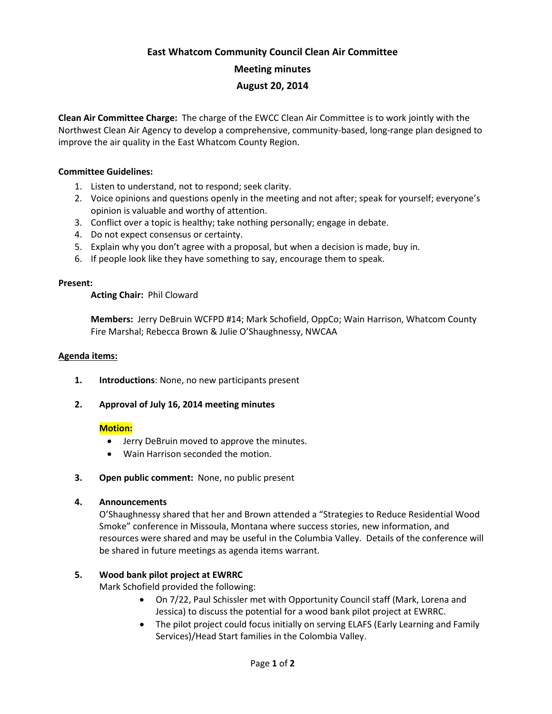# **East Whatcom Community Council Clean Air Committee Meeting minutes August 20, 2014**

**Clean Air Committee Charge:** The charge of the EWCC Clean Air Committee is to work jointly with the Northwest Clean Air Agency to develop a comprehensive, community-based, long-range plan designed to improve the air quality in the East Whatcom County Region.

## **Committee Guidelines:**

- 1. Listen to understand, not to respond; seek clarity.
- 2. Voice opinions and questions openly in the meeting and not after; speak for yourself; everyone's opinion is valuable and worthy of attention.
- 3. Conflict over a topic is healthy; take nothing personally; engage in debate.
- 4. Do not expect consensus or certainty.
- 5. Explain why you don't agree with a proposal, but when a decision is made, buy in.
- 6. If people look like they have something to say, encourage them to speak.

#### **Present:**

**Acting Chair:** Phil Cloward

**Members:** Jerry DeBruin WCFPD #14; Mark Schofield, OppCo; Wain Harrison, Whatcom County Fire Marshal; Rebecca Brown & Julie O'Shaughnessy, NWCAA

#### **Agenda items:**

- **1. Introductions**: None, no new participants present
- **2. Approval of July 16, 2014 meeting minutes**

### **Motion:**

- Jerry DeBruin moved to approve the minutes.
- Wain Harrison seconded the motion.
- **3. Open public comment:** None, no public present

### **4. Announcements**

O'Shaughnessy shared that her and Brown attended a "Strategies to Reduce Residential Wood Smoke" conference in Missoula, Montana where success stories, new information, and resources were shared and may be useful in the Columbia Valley. Details of the conference will be shared in future meetings as agenda items warrant.

### **5. Wood bank pilot project at EWRRC**

Mark Schofield provided the following:

- On 7/22, Paul Schissler met with Opportunity Council staff (Mark, Lorena and Jessica) to discuss the potential for a wood bank pilot project at EWRRC.
- The pilot project could focus initially on serving ELAFS (Early Learning and Family Services)/Head Start families in the Colombia Valley.